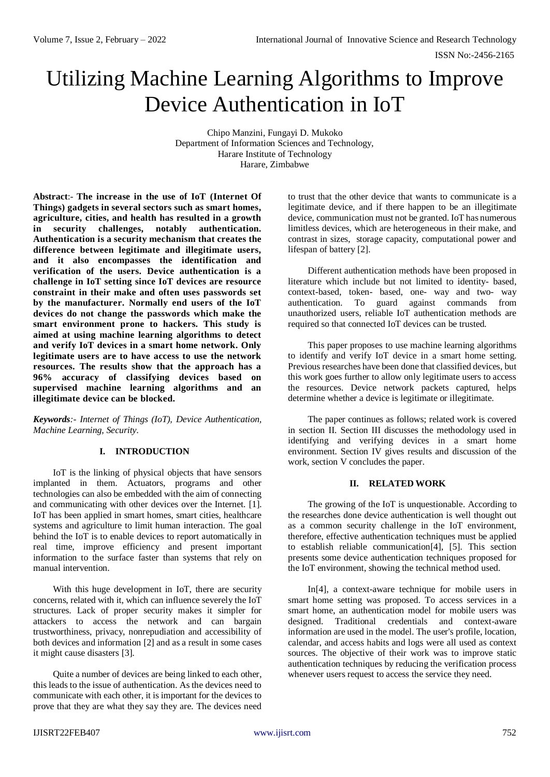# Utilizing Machine Learning Algorithms to Improve Device Authentication in IoT

Chipo Manzini, Fungayi D. Mukoko Department of Information Sciences and Technology, Harare Institute of Technology Harare, Zimbabwe

**Abstract**:- **The increase in the use of IoT (Internet Of Things) gadgets in several sectors such as smart homes, agriculture, cities, and health has resulted in a growth in security challenges, notably authentication. Authentication is a security mechanism that creates the difference between legitimate and illegitimate users, and it also encompasses the identification and verification of the users. Device authentication is a challenge in IoT setting since IoT devices are resource constraint in their make and often uses passwords set by the manufacturer. Normally end users of the IoT devices do not change the passwords which make the smart environment prone to hackers. This study is aimed at using machine learning algorithms to detect and verify IoT devices in a smart home network. Only legitimate users are to have access to use the network resources. The results show that the approach has a 96% accuracy of classifying devices based on supervised machine learning algorithms and an illegitimate device can be blocked.** 

*Keywords:- Internet of Things (IoT), Device Authentication, Machine Learning, Security.*

## **I. INTRODUCTION**

IoT is the linking of physical objects that have sensors implanted in them. Actuators, programs and other technologies can also be embedded with the aim of connecting and communicating with other devices over the Internet. [1]. IoT has been applied in smart homes, smart cities, healthcare systems and agriculture to limit human interaction. The goal behind the IoT is to enable devices to report automatically in real time, improve efficiency and present important information to the surface faster than systems that rely on manual intervention.

With this huge development in IoT, there are security concerns, related with it, which can influence severely the IoT structures. Lack of proper security makes it simpler for attackers to access the network and can bargain trustworthiness, privacy, nonrepudiation and accessibility of both devices and information [2] and as a result in some cases it might cause disasters [3].

Quite a number of devices are being linked to each other, this leads to the issue of authentication. As the devices need to communicate with each other, it is important for the devices to prove that they are what they say they are. The devices need

to trust that the other device that wants to communicate is a legitimate device, and if there happen to be an illegitimate device, communication must not be granted. IoT has numerous limitless devices, which are heterogeneous in their make, and contrast in sizes, storage capacity, computational power and lifespan of battery [2].

Different authentication methods have been proposed in literature which include but not limited to identity- based, context-based, token- based, one- way and two- way authentication. To guard against commands from unauthorized users, reliable IoT authentication methods are required so that connected IoT devices can be trusted.

This paper proposes to use machine learning algorithms to identify and verify IoT device in a smart home setting. Previous researches have been done that classified devices, but this work goes further to allow only legitimate users to access the resources. Device network packets captured, helps determine whether a device is legitimate or illegitimate.

The paper continues as follows; related work is covered in section II. Section III discusses the methodology used in identifying and verifying devices in a smart home environment. Section IV gives results and discussion of the work, section V concludes the paper.

### **II. RELATED WORK**

The growing of the IoT is unquestionable. According to the researches done device authentication is well thought out as a common security challenge in the IoT environment, therefore, effective authentication techniques must be applied to establish reliable communication[4], [5]. This section presents some device authentication techniques proposed for the IoT environment, showing the technical method used.

In[4], a context-aware technique for mobile users in smart home setting was proposed. To access services in a smart home, an authentication model for mobile users was designed. Traditional credentials and context-aware information are used in the model. The user's profile, location, calendar, and access habits and logs were all used as context sources. The objective of their work was to improve static authentication techniques by reducing the verification process whenever users request to access the service they need.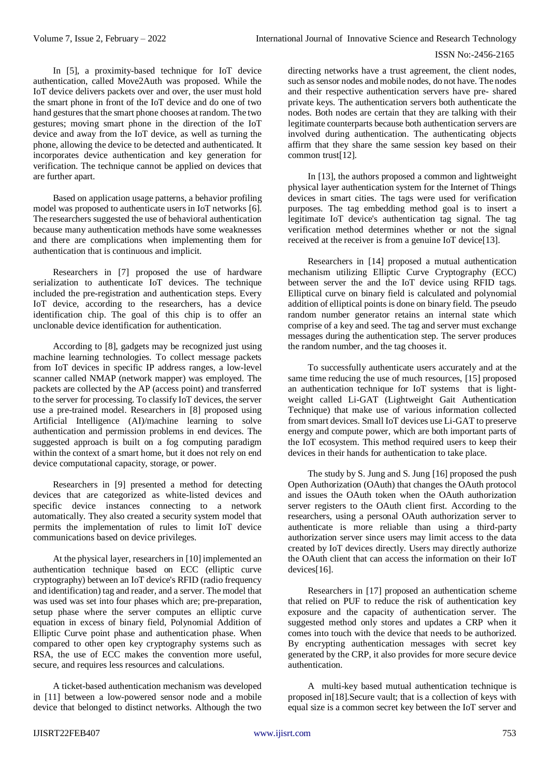In [5], a proximity-based technique for IoT device authentication, called Move2Auth was proposed. While the IoT device delivers packets over and over, the user must hold the smart phone in front of the IoT device and do one of two hand gestures that the smart phone chooses at random. The two gestures; moving smart phone in the direction of the IoT device and away from the IoT device, as well as turning the phone, allowing the device to be detected and authenticated. It incorporates device authentication and key generation for verification. The technique cannot be applied on devices that are further apart.

Based on application usage patterns, a behavior profiling model was proposed to authenticate users in IoT networks [6]. The researchers suggested the use of behavioral authentication because many authentication methods have some weaknesses and there are complications when implementing them for authentication that is continuous and implicit.

Researchers in [7] proposed the use of hardware serialization to authenticate IoT devices. The technique included the pre-registration and authentication steps. Every IoT device, according to the researchers, has a device identification chip. The goal of this chip is to offer an unclonable device identification for authentication.

According to [8], gadgets may be recognized just using machine learning technologies. To collect message packets from IoT devices in specific IP address ranges, a low-level scanner called NMAP (network mapper) was employed. The packets are collected by the AP (access point) and transferred to the server for processing. To classify IoT devices, the server use a pre-trained model. Researchers in [8] proposed using Artificial Intelligence (AI)/machine learning to solve authentication and permission problems in end devices. The suggested approach is built on a fog computing paradigm within the context of a smart home, but it does not rely on end device computational capacity, storage, or power.

Researchers in [9] presented a method for detecting devices that are categorized as white-listed devices and specific device instances connecting to a network automatically. They also created a security system model that permits the implementation of rules to limit IoT device communications based on device privileges.

At the physical layer, researchers in [10] implemented an authentication technique based on ECC (elliptic curve cryptography) between an IoT device's RFID (radio frequency and identification) tag and reader, and a server. The model that was used was set into four phases which are; pre-preparation, setup phase where the server computes an elliptic curve equation in excess of binary field, Polynomial Addition of Elliptic Curve point phase and authentication phase. When compared to other open key cryptography systems such as RSA, the use of ECC makes the convention more useful, secure, and requires less resources and calculations.

A ticket-based authentication mechanism was developed in [11] between a low-powered sensor node and a mobile device that belonged to distinct networks. Although the two

directing networks have a trust agreement, the client nodes, such as sensor nodes and mobile nodes, do not have. The nodes and their respective authentication servers have pre- shared private keys. The authentication servers both authenticate the nodes. Both nodes are certain that they are talking with their legitimate counterparts because both authentication servers are involved during authentication. The authenticating objects affirm that they share the same session key based on their common trust[12].

In [13], the authors proposed a common and lightweight physical layer authentication system for the Internet of Things devices in smart cities. The tags were used for verification purposes. The tag embedding method goal is to insert a legitimate IoT device's authentication tag signal. The tag verification method determines whether or not the signal received at the receiver is from a genuine IoT device[13].

Researchers in [14] proposed a mutual authentication mechanism utilizing Elliptic Curve Cryptography (ECC) between server the and the IoT device using RFID tags. Elliptical curve on binary field is calculated and polynomial addition of elliptical points is done on binary field. The pseudo random number generator retains an internal state which comprise of a key and seed. The tag and server must exchange messages during the authentication step. The server produces the random number, and the tag chooses it.

To successfully authenticate users accurately and at the same time reducing the use of much resources, [15] proposed an authentication technique for IoT systems that is lightweight called Li-GAT (Lightweight Gait Authentication Technique) that make use of various information collected from smart devices. Small IoT devices use Li-GAT to preserve energy and compute power, which are both important parts of the IoT ecosystem. This method required users to keep their devices in their hands for authentication to take place.

The study by S. Jung and S. Jung [16] proposed the push Open Authorization (OAuth) that changes the OAuth protocol and issues the OAuth token when the OAuth authorization server registers to the OAuth client first. According to the researchers, using a personal OAuth authorization server to authenticate is more reliable than using a third-party authorization server since users may limit access to the data created by IoT devices directly. Users may directly authorize the OAuth client that can access the information on their IoT devices[16].

Researchers in [17] proposed an authentication scheme that relied on PUF to reduce the risk of authentication key exposure and the capacity of authentication server. The suggested method only stores and updates a CRP when it comes into touch with the device that needs to be authorized. By encrypting authentication messages with secret key generated by the CRP, it also provides for more secure device authentication.

A multi-key based mutual authentication technique is proposed in[18].Secure vault; that is a collection of keys with equal size is a common secret key between the IoT server and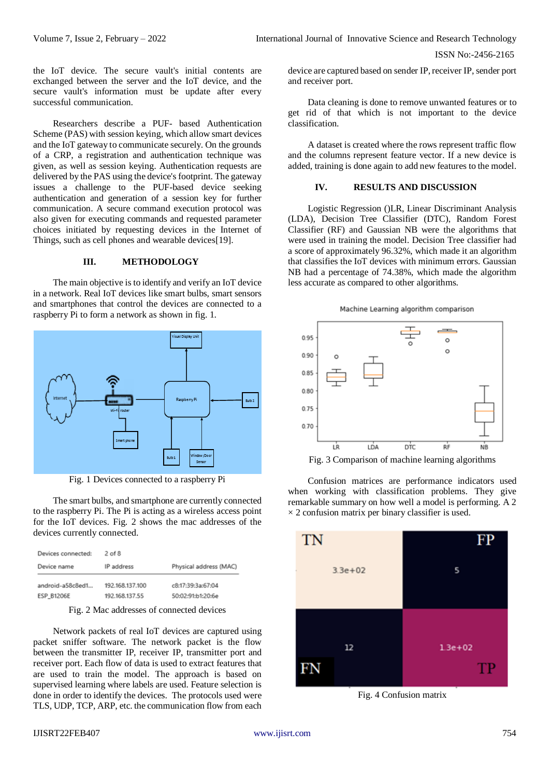the IoT device. The secure vault's initial contents are exchanged between the server and the IoT device, and the secure vault's information must be update after every successful communication.

Researchers describe a PUF- based Authentication Scheme (PAS) with session keying, which allow smart devices and the IoT gateway to communicate securely. On the grounds of a CRP, a registration and authentication technique was given, as well as session keying. Authentication requests are delivered by the PAS using the device's footprint. The gateway issues a challenge to the PUF-based device seeking authentication and generation of a session key for further communication. A secure command execution protocol was also given for executing commands and requested parameter choices initiated by requesting devices in the Internet of Things, such as cell phones and wearable devices[19].

#### **III. METHODOLOGY**

The main objective is to identify and verify an IoT device in a network. Real IoT devices like smart bulbs, smart sensors and smartphones that control the devices are connected to a raspberry Pi to form a network as shown in fig. 1.



Fig. 1 Devices connected to a raspberry Pi

The smart bulbs, and smartphone are currently connected to the raspberry Pi. The Pi is acting as a wireless access point for the IoT devices. Fig. 2 shows the mac addresses of the devices currently connected.

| Devices connected: | 2 of 8          |                        |
|--------------------|-----------------|------------------------|
| Device name        | IP address      | Physical address (MAC) |
| android-a58c8ed1   | 192.168.137.100 | c8:17:39:3a:67:04      |
| ESP_B1206E         | 192.168.137.55  | 50:02:91:b1:20:6e      |

Fig. 2 Mac addresses of connected devices

Network packets of real IoT devices are captured using packet sniffer software. The network packet is the flow between the transmitter IP, receiver IP, transmitter port and receiver port. Each flow of data is used to extract features that are used to train the model. The approach is based on supervised learning where labels are used. Feature selection is done in order to identify the devices. The protocols used were TLS, UDP, TCP, ARP, etc. the communication flow from each

device are captured based on sender IP, receiver IP, sender port and receiver port.

Data cleaning is done to remove unwanted features or to get rid of that which is not important to the device classification.

A dataset is created where the rows represent traffic flow and the columns represent feature vector. If a new device is added, training is done again to add new features to the model.

## **IV. RESULTS AND DISCUSSION**

Logistic Regression ()LR, Linear Discriminant Analysis (LDA), Decision Tree Classifier (DTC), Random Forest Classifier (RF) and Gaussian NB were the algorithms that were used in training the model. Decision Tree classifier had a score of approximately 96.32%, which made it an algorithm that classifies the IoT devices with minimum errors. Gaussian NB had a percentage of 74.38%, which made the algorithm less accurate as compared to other algorithms.





Fig. 3 Comparison of machine learning algorithms

Confusion matrices are performance indicators used when working with classification problems. They give remarkable summary on how well a model is performing. A 2  $\times$  2 confusion matrix per binary classifier is used.



Fig. 4 Confusion matrix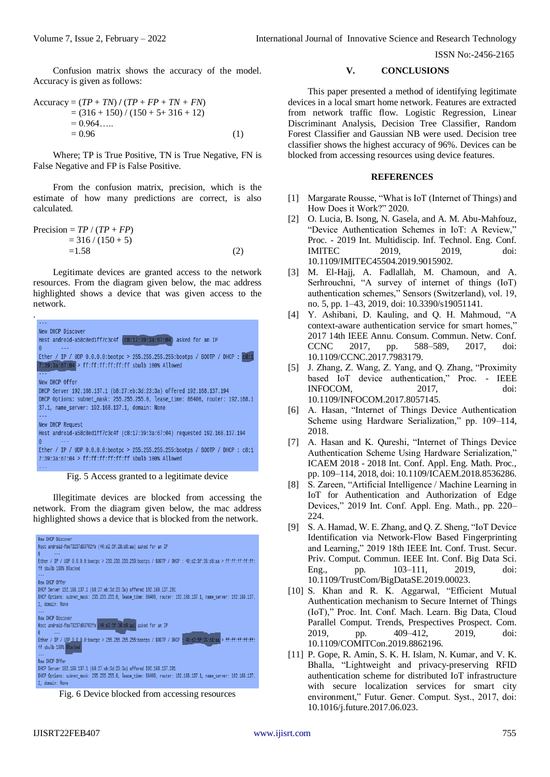Confusion matrix shows the accuracy of the model. Accuracy is given as follows:

$$
\begin{aligned} \text{Accuracy} &= (TP + TN) / (TP + FP + TN + FN) \\ &= (316 + 150) / (150 + 5 + 316 + 12) \\ &= 0.964 \dots \\ &= 0.96 \end{aligned} \tag{1}
$$

Where; TP is True Positive, TN is True Negative, FN is False Negative and FP is False Positive.

From the confusion matrix, precision, which is the estimate of how many predictions are correct, is also calculated.

$$
\begin{aligned} \text{Precision} &= TP / (TP + FP) \\ &= 316 / (150 + 5) \\ &= 1.58 \end{aligned} \tag{2}
$$

Legitimate devices are granted access to the network resources. From the diagram given below, the mac address highlighted shows a device that was given access to the network.



Fig. 5 Access granted to a legitimate device

Illegitimate devices are blocked from accessing the network. From the diagram given below, the mac address highlighted shows a device that is blocked from the network.



Fig. 6 Device blocked from accessing resources

## **V. CONCLUSIONS**

This paper presented a method of identifying legitimate devices in a local smart home network. Features are extracted from network traffic flow. Logistic Regression, Linear Discriminant Analysis, Decision Tree Classifier, Random Forest Classifier and Gaussian NB were used. Decision tree classifier shows the highest accuracy of 96%. Devices can be blocked from accessing resources using device features.

#### **REFERENCES**

- [1] Margarate Rousse, "What is IoT (Internet of Things) and How Does it Work?" 2020.
- [2] O. Lucia, B. Isong, N. Gasela, and A. M. Abu-Mahfouz, "Device Authentication Schemes in IoT: A Review," Proc. - 2019 Int. Multidiscip. Inf. Technol. Eng. Conf. IMITEC 2019, 2019, doi: 10.1109/IMITEC45504.2019.9015902.
- [3] M. El-Hajj, A. Fadlallah, M. Chamoun, and A. Serhrouchni, "A survey of internet of things (IoT) authentication schemes," Sensors (Switzerland), vol. 19, no. 5, pp. 1–43, 2019, doi: 10.3390/s19051141.
- [4] Y. Ashibani, D. Kauling, and Q. H. Mahmoud, "A context-aware authentication service for smart homes," 2017 14th IEEE Annu. Consum. Commun. Netw. Conf. CCNC 2017, pp. 588–589, 2017, doi: 10.1109/CCNC.2017.7983179.
- [5] J. Zhang, Z. Wang, Z. Yang, and Q. Zhang, "Proximity based IoT device authentication," Proc. - IEEE INFOCOM, 2017, doi: 10.1109/INFOCOM.2017.8057145.
- [6] A. Hasan, "Internet of Things Device Authentication Scheme using Hardware Serialization," pp. 109–114, 2018.
- [7] A. Hasan and K. Qureshi, "Internet of Things Device Authentication Scheme Using Hardware Serialization," ICAEM 2018 - 2018 Int. Conf. Appl. Eng. Math. Proc., pp. 109–114, 2018, doi: 10.1109/ICAEM.2018.8536286.
- [8] S. Zareen, "Artificial Intelligence / Machine Learning in IoT for Authentication and Authorization of Edge Devices," 2019 Int. Conf. Appl. Eng. Math., pp. 220– 224.
- [9] S. A. Hamad, W. E. Zhang, and Q. Z. Sheng, "IoT Device Identification via Network-Flow Based Fingerprinting and Learning," 2019 18th IEEE Int. Conf. Trust. Secur. Priv. Comput. Commun. IEEE Int. Conf. Big Data Sci. Eng., pp. 103–111, 2019, doi: 10.1109/TrustCom/BigDataSE.2019.00023.
- [10] S. Khan and R. K. Aggarwal, "Efficient Mutual Authentication mechanism to Secure Internet of Things (IoT)," Proc. Int. Conf. Mach. Learn. Big Data, Cloud Parallel Comput. Trends, Prespectives Prospect. Com. 2019, pp. 409–412, 2019, doi: 10.1109/COMITCon.2019.8862196.
- [11] P. Gope, R. Amin, S. K. H. Islam, N. Kumar, and V. K. Bhalla, "Lightweight and privacy-preserving RFID authentication scheme for distributed IoT infrastructure with secure localization services for smart city environment," Futur. Gener. Comput. Syst., 2017, doi: 10.1016/j.future.2017.06.023.

.